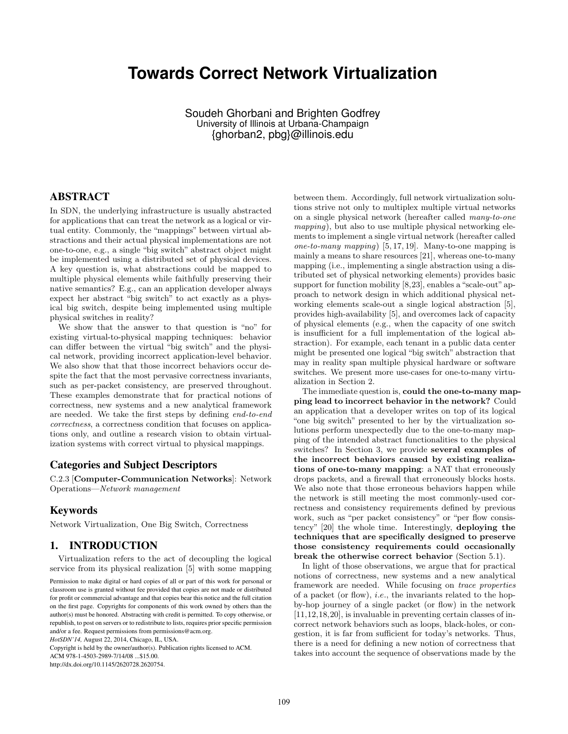# **Towards Correct Network Virtualization**

Soudeh Ghorbani and Brighten Godfrey University of Illinois at Urbana-Champaign {ghorban2, pbg}@illinois.edu

## ABSTRACT

In SDN, the underlying infrastructure is usually abstracted for applications that can treat the network as a logical or virtual entity. Commonly, the "mappings" between virtual abstractions and their actual physical implementations are not one-to-one, e.g., a single "big switch" abstract object might be implemented using a distributed set of physical devices. A key question is, what abstractions could be mapped to multiple physical elements while faithfully preserving their native semantics? E.g., can an application developer always expect her abstract "big switch" to act exactly as a physical big switch, despite being implemented using multiple physical switches in reality?

We show that the answer to that question is "no" for existing virtual-to-physical mapping techniques: behavior can differ between the virtual "big switch" and the physical network, providing incorrect application-level behavior. We also show that that those incorrect behaviors occur despite the fact that the most pervasive correctness invariants, such as per-packet consistency, are preserved throughout. These examples demonstrate that for practical notions of correctness, new systems and a new analytical framework are needed. We take the first steps by defining end-to-end correctness, a correctness condition that focuses on applications only, and outline a research vision to obtain virtualization systems with correct virtual to physical mappings.

## Categories and Subject Descriptors

C.2.3 [Computer-Communication Networks]: Network Operations—Network management

## Keywords

Network Virtualization, One Big Switch, Correctness

## 1. INTRODUCTION

Virtualization refers to the act of decoupling the logical service from its physical realization [5] with some mapping

Copyright is held by the owner/author(s). Publication rights licensed to ACM. ACM 978-1-4503-2989-7/14/08 ...\$15.00.

http://dx.doi.org/10.1145/2620728.2620754.

between them. Accordingly, full network virtualization solutions strive not only to multiplex multiple virtual networks on a single physical network (hereafter called many-to-one mapping), but also to use multiple physical networking elements to implement a single virtual network (hereafter called one-to-many mapping)  $[5, 17, 19]$ . Many-to-one mapping is mainly a means to share resources [21], whereas one-to-many mapping (i.e., implementing a single abstraction using a distributed set of physical networking elements) provides basic support for function mobility [8,23], enables a "scale-out" approach to network design in which additional physical networking elements scale-out a single logical abstraction [5], provides high-availability [5], and overcomes lack of capacity of physical elements (e.g., when the capacity of one switch is insufficient for a full implementation of the logical abstraction). For example, each tenant in a public data center might be presented one logical "big switch" abstraction that may in reality span multiple physical hardware or software switches. We present more use-cases for one-to-many virtualization in Section 2.

The immediate question is, could the one-to-many mapping lead to incorrect behavior in the network? Could an application that a developer writes on top of its logical "one big switch" presented to her by the virtualization solutions perform unexpectedly due to the one-to-many mapping of the intended abstract functionalities to the physical switches? In Section 3, we provide several examples of the incorrect behaviors caused by existing realizations of one-to-many mapping: a NAT that erroneously drops packets, and a firewall that erroneously blocks hosts. We also note that those erroneous behaviors happen while the network is still meeting the most commonly-used correctness and consistency requirements defined by previous work, such as "per packet consistency" or "per flow consistency" [20] the whole time. Interestingly, deploying the techniques that are specifically designed to preserve those consistency requirements could occasionally break the otherwise correct behavior (Section 5.1).

In light of those observations, we argue that for practical notions of correctness, new systems and a new analytical framework are needed. While focusing on trace properties of a packet (or flow), *i.e.*, the invariants related to the hopby-hop journey of a single packet (or flow) in the network [11,12,18,20], is invaluable in preventing certain classes of incorrect network behaviors such as loops, black-holes, or congestion, it is far from sufficient for today's networks. Thus, there is a need for defining a new notion of correctness that takes into account the sequence of observations made by the

Permission to make digital or hard copies of all or part of this work for personal or classroom use is granted without fee provided that copies are not made or distributed for profit or commercial advantage and that copies bear this notice and the full citation on the first page. Copyrights for components of this work owned by others than the author(s) must be honored. Abstracting with credit is permitted. To copy otherwise, or republish, to post on servers or to redistribute to lists, requires prior specific permission and/or a fee. Request permissions from permissions@acm.org. *HotSDN'14,* August 22, 2014, Chicago, IL, USA.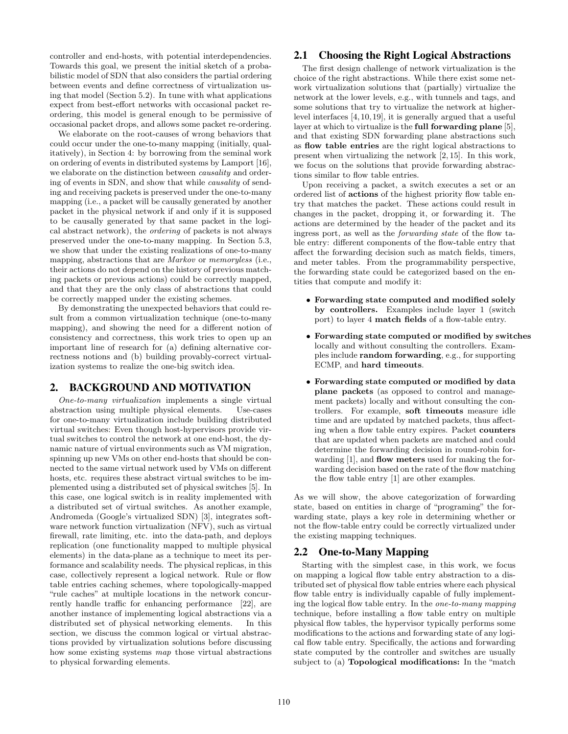controller and end-hosts, with potential interdependencies. Towards this goal, we present the initial sketch of a probabilistic model of SDN that also considers the partial ordering between events and define correctness of virtualization using that model (Section 5.2). In tune with what applications expect from best-effort networks with occasional packet reordering, this model is general enough to be permissive of occasional packet drops, and allows some packet re-ordering.

We elaborate on the root-causes of wrong behaviors that could occur under the one-to-many mapping (initially, qualitatively), in Section 4: by borrowing from the seminal work on ordering of events in distributed systems by Lamport [16], we elaborate on the distinction between causality and ordering of events in SDN, and show that while causality of sending and receiving packets is preserved under the one-to-many mapping (i.e., a packet will be causally generated by another packet in the physical network if and only if it is supposed to be causally generated by that same packet in the logical abstract network), the ordering of packets is not always preserved under the one-to-many mapping. In Section 5.3, we show that under the existing realizations of one-to-many mapping, abstractions that are Markov or memoryless (i.e., their actions do not depend on the history of previous matching packets or previous actions) could be correctly mapped, and that they are the only class of abstractions that could be correctly mapped under the existing schemes.

By demonstrating the unexpected behaviors that could result from a common virtualization technique (one-to-many mapping), and showing the need for a different notion of consistency and correctness, this work tries to open up an important line of research for (a) defining alternative correctness notions and (b) building provably-correct virtualization systems to realize the one-big switch idea.

## 2. BACKGROUND AND MOTIVATION

One-to-many virtualization implements a single virtual abstraction using multiple physical elements. Use-cases for one-to-many virtualization include building distributed virtual switches: Even though host-hypervisors provide virtual switches to control the network at one end-host, the dynamic nature of virtual environments such as VM migration, spinning up new VMs on other end-hosts that should be connected to the same virtual network used by VMs on different hosts, etc. requires these abstract virtual switches to be implemented using a distributed set of physical switches [5]. In this case, one logical switch is in reality implemented with a distributed set of virtual switches. As another example, Andromeda (Google's virtualized SDN) [3], integrates software network function virtualization (NFV), such as virtual firewall, rate limiting, etc. into the data-path, and deploys replication (one functionality mapped to multiple physical elements) in the data-plane as a technique to meet its performance and scalability needs. The physical replicas, in this case, collectively represent a logical network. Rule or flow table entries caching schemes, where topologically-mapped "rule caches" at multiple locations in the network concurrently handle traffic for enhancing performance [22], are another instance of implementing logical abstractions via a distributed set of physical networking elements. In this section, we discuss the common logical or virtual abstractions provided by virtualization solutions before discussing how some existing systems map those virtual abstractions to physical forwarding elements.

## 2.1 Choosing the Right Logical Abstractions

The first design challenge of network virtualization is the choice of the right abstractions. While there exist some network virtualization solutions that (partially) virtualize the network at the lower levels, e.g., with tunnels and tags, and some solutions that try to virtualize the network at higherlevel interfaces [4, 10, 19], it is generally argued that a useful layer at which to virtualize is the full forwarding plane [5], and that existing SDN forwarding plane abstractions such as flow table entries are the right logical abstractions to present when virtualizing the network [2, 15]. In this work, we focus on the solutions that provide forwarding abstractions similar to flow table entries.

Upon receiving a packet, a switch executes a set or an ordered list of actions of the highest priority flow table entry that matches the packet. These actions could result in changes in the packet, dropping it, or forwarding it. The actions are determined by the header of the packet and its ingress port, as well as the forwarding state of the flow table entry: different components of the flow-table entry that affect the forwarding decision such as match fields, timers, and meter tables. From the programmability perspective, the forwarding state could be categorized based on the entities that compute and modify it:

- Forwarding state computed and modified solely by controllers. Examples include layer 1 (switch port) to layer 4 match fields of a flow-table entry.
- Forwarding state computed or modified by switches locally and without consulting the controllers. Examples include random forwarding, e.g., for supporting ECMP, and hard timeouts.
- Forwarding state computed or modified by data plane packets (as opposed to control and management packets) locally and without consulting the controllers. For example, soft timeouts measure idle time and are updated by matched packets, thus affecting when a flow table entry expires. Packet counters that are updated when packets are matched and could determine the forwarding decision in round-robin forwarding [1], and flow meters used for making the forwarding decision based on the rate of the flow matching the flow table entry [1] are other examples.

As we will show, the above categorization of forwarding state, based on entities in charge of "programing" the forwarding state, plays a key role in determining whether or not the flow-table entry could be correctly virtualized under the existing mapping techniques.

## 2.2 One-to-Many Mapping

Starting with the simplest case, in this work, we focus on mapping a logical flow table entry abstraction to a distributed set of physical flow table entries where each physical flow table entry is individually capable of fully implementing the logical flow table entry. In the one-to-many mapping technique, before installing a flow table entry on multiple physical flow tables, the hypervisor typically performs some modifications to the actions and forwarding state of any logical flow table entry. Specifically, the actions and forwarding state computed by the controller and switches are usually subject to (a) Topological modifications: In the "match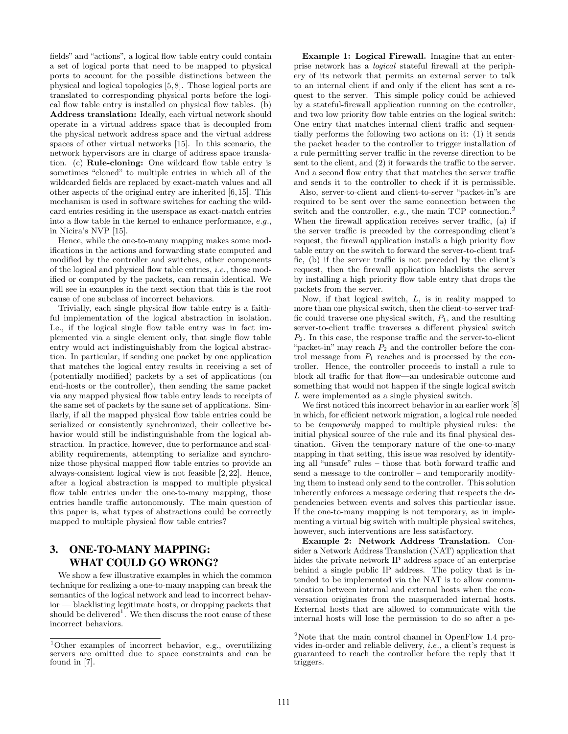fields" and "actions", a logical flow table entry could contain a set of logical ports that need to be mapped to physical ports to account for the possible distinctions between the physical and logical topologies [5,8]. Those logical ports are translated to corresponding physical ports before the logical flow table entry is installed on physical flow tables. (b) Address translation: Ideally, each virtual network should operate in a virtual address space that is decoupled from the physical network address space and the virtual address spaces of other virtual networks [15]. In this scenario, the network hypervisors are in charge of address space translation. (c) Rule-cloning: One wildcard flow table entry is sometimes "cloned" to multiple entries in which all of the wildcarded fields are replaced by exact-match values and all other aspects of the original entry are inherited [6, 15]. This mechanism is used in software switches for caching the wildcard entries residing in the userspace as exact-match entries into a flow table in the kernel to enhance performance, e.g., in Nicira's NVP [15].

Hence, while the one-to-many mapping makes some modifications in the actions and forwarding state computed and modified by the controller and switches, other components of the logical and physical flow table entries, i.e., those modified or computed by the packets, can remain identical. We will see in examples in the next section that this is the root cause of one subclass of incorrect behaviors.

Trivially, each single physical flow table entry is a faithful implementation of the logical abstraction in isolation. I.e., if the logical single flow table entry was in fact implemented via a single element only, that single flow table entry would act indistinguishably from the logical abstraction. In particular, if sending one packet by one application that matches the logical entry results in receiving a set of (potentially modified) packets by a set of applications (on end-hosts or the controller), then sending the same packet via any mapped physical flow table entry leads to receipts of the same set of packets by the same set of applications. Similarly, if all the mapped physical flow table entries could be serialized or consistently synchronized, their collective behavior would still be indistinguishable from the logical abstraction. In practice, however, due to performance and scalability requirements, attempting to serialize and synchronize those physical mapped flow table entries to provide an always-consistent logical view is not feasible [2, 22]. Hence, after a logical abstraction is mapped to multiple physical flow table entries under the one-to-many mapping, those entries handle traffic autonomously. The main question of this paper is, what types of abstractions could be correctly mapped to multiple physical flow table entries?

## 3. ONE-TO-MANY MAPPING: WHAT COULD GO WRONG?

We show a few illustrative examples in which the common technique for realizing a one-to-many mapping can break the semantics of the logical network and lead to incorrect behavior — blacklisting legitimate hosts, or dropping packets that should be delivered<sup>1</sup>. We then discuss the root cause of these incorrect behaviors.

Example 1: Logical Firewall. Imagine that an enterprise network has a logical stateful firewall at the periphery of its network that permits an external server to talk to an internal client if and only if the client has sent a request to the server. This simple policy could be achieved by a stateful-firewall application running on the controller, and two low priority flow table entries on the logical switch: One entry that matches internal client traffic and sequentially performs the following two actions on it: (1) it sends the packet header to the controller to trigger installation of a rule permitting server traffic in the reverse direction to be sent to the client, and (2) it forwards the traffic to the server. And a second flow entry that that matches the server traffic and sends it to the controller to check if it is permissible.

Also, server-to-client and client-to-server "packet-in"s are required to be sent over the same connection between the switch and the controller, e.g., the main TCP connection.<sup>2</sup> When the firewall application receives server traffic, (a) if the server traffic is preceded by the corresponding client's request, the firewall application installs a high priority flow table entry on the switch to forward the server-to-client traffic, (b) if the server traffic is not preceded by the client's request, then the firewall application blacklists the server by installing a high priority flow table entry that drops the packets from the server.

Now, if that logical switch,  $L$ , is in reality mapped to more than one physical switch, then the client-to-server traffic could traverse one physical switch,  $P_1$ , and the resulting server-to-client traffic traverses a different physical switch  $P_2$ . In this case, the response traffic and the server-to-client "packet-in" may reach  $P_2$  and the controller before the control message from  $P_1$  reaches and is processed by the controller. Hence, the controller proceeds to install a rule to block all traffic for that flow—an undesirable outcome and something that would not happen if the single logical switch L were implemented as a single physical switch.

We first noticed this incorrect behavior in an earlier work [8] in which, for efficient network migration, a logical rule needed to be temporarily mapped to multiple physical rules: the initial physical source of the rule and its final physical destination. Given the temporary nature of the one-to-many mapping in that setting, this issue was resolved by identifying all "unsafe" rules – those that both forward traffic and send a message to the controller – and temporarily modifying them to instead only send to the controller. This solution inherently enforces a message ordering that respects the dependencies between events and solves this particular issue. If the one-to-many mapping is not temporary, as in implementing a virtual big switch with multiple physical switches, however, such interventions are less satisfactory.

Example 2: Network Address Translation. Consider a Network Address Translation (NAT) application that hides the private network IP address space of an enterprise behind a single public IP address. The policy that is intended to be implemented via the NAT is to allow communication between internal and external hosts when the conversation originates from the masqueraded internal hosts. External hosts that are allowed to communicate with the internal hosts will lose the permission to do so after a pe-

<sup>1</sup>Other examples of incorrect behavior, e.g., overutilizing servers are omitted due to space constraints and can be found in [7].

 $2$ Note that the main control channel in OpenFlow 1.4 provides in-order and reliable delivery, i.e., a client's request is guaranteed to reach the controller before the reply that it triggers.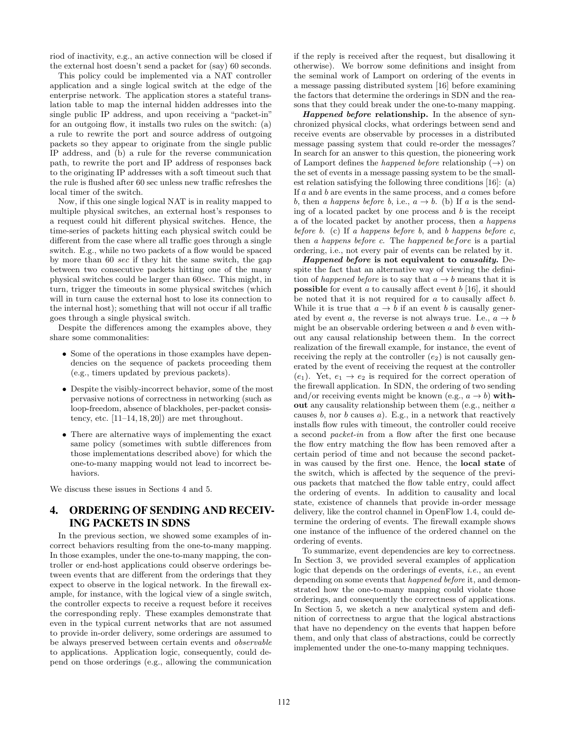riod of inactivity, e.g., an active connection will be closed if the external host doesn't send a packet for (say) 60 seconds.

This policy could be implemented via a NAT controller application and a single logical switch at the edge of the enterprise network. The application stores a stateful translation table to map the internal hidden addresses into the single public IP address, and upon receiving a "packet-in" for an outgoing flow, it installs two rules on the switch: (a) a rule to rewrite the port and source address of outgoing packets so they appear to originate from the single public IP address, and (b) a rule for the reverse communication path, to rewrite the port and IP address of responses back to the originating IP addresses with a soft timeout such that the rule is flushed after 60 sec unless new traffic refreshes the local timer of the switch.

Now, if this one single logical NAT is in reality mapped to multiple physical switches, an external host's responses to a request could hit different physical switches. Hence, the time-series of packets hitting each physical switch could be different from the case where all traffic goes through a single switch. E.g., while no two packets of a flow would be spaced by more than 60 sec if they hit the same switch, the gap between two consecutive packets hitting one of the many physical switches could be larger than 60sec. This might, in turn, trigger the timeouts in some physical switches (which will in turn cause the external host to lose its connection to the internal host); something that will not occur if all traffic goes through a single physical switch.

Despite the differences among the examples above, they share some commonalities:

- Some of the operations in those examples have dependencies on the sequence of packets proceeding them (e.g., timers updated by previous packets).
- Despite the visibly-incorrect behavior, some of the most pervasive notions of correctness in networking (such as loop-freedom, absence of blackholes, per-packet consistency, etc. [11–14, 18, 20]) are met throughout.
- There are alternative ways of implementing the exact same policy (sometimes with subtle differences from those implementations described above) for which the one-to-many mapping would not lead to incorrect behaviors.

We discuss these issues in Sections 4 and 5.

## 4. ORDERING OF SENDING AND RECEIV-ING PACKETS IN SDNS

In the previous section, we showed some examples of incorrect behaviors resulting from the one-to-many mapping. In those examples, under the one-to-many mapping, the controller or end-host applications could observe orderings between events that are different from the orderings that they expect to observe in the logical network. In the firewall example, for instance, with the logical view of a single switch, the controller expects to receive a request before it receives the corresponding reply. These examples demonstrate that even in the typical current networks that are not assumed to provide in-order delivery, some orderings are assumed to be always preserved between certain events and observable to applications. Application logic, consequently, could depend on those orderings (e.g., allowing the communication if the reply is received after the request, but disallowing it otherwise). We borrow some definitions and insight from the seminal work of Lamport on ordering of the events in a message passing distributed system [16] before examining the factors that determine the orderings in SDN and the reasons that they could break under the one-to-many mapping.

Happened before relationship. In the absence of synchronized physical clocks, what orderings between send and receive events are observable by processes in a distributed message passing system that could re-order the messages? In search for an answer to this question, the pioneering work of Lamport defines the *happened before* relationship  $(\rightarrow)$  on the set of events in a message passing system to be the smallest relation satisfying the following three conditions [16]: (a) If  $a$  and  $b$  are events in the same process, and  $a$  comes before b, then a happens before b, i.e.,  $a \rightarrow b$ . (b) If a is the sending of a located packet by one process and  $b$  is the receipt a of the located packet by another process, then a happens before b.  $(c)$  If a happens before b, and b happens before c, then a happens before c. The happened before is a partial ordering, i.e., not every pair of events can be related by it.

Happened before is not equivalent to *causality*. Despite the fact that an alternative way of viewing the definition of happened before is to say that  $a \rightarrow b$  means that it is **possible** for event a to causally affect event  $b$  [16], it should be noted that it is not required for a to causally affect b. While it is true that  $a \to b$  if an event b is causally generated by event a, the reverse is not always true. I.e.,  $a \rightarrow b$ might be an observable ordering between  $a$  and  $b$  even without any causal relationship between them. In the correct realization of the firewall example, for instance, the event of receiving the reply at the controller  $(e_2)$  is not causally generated by the event of receiving the request at the controller  $(e_1)$ . Yet,  $e_1 \rightarrow e_2$  is required for the correct operation of the firewall application. In SDN, the ordering of two sending and/or receiving events might be known (e.g.,  $a \rightarrow b$ ) without any causality relationship between them (e.g., neither a causes  $b$ , nor  $b$  causes  $a$ ). E.g., in a network that reactively installs flow rules with timeout, the controller could receive a second packet-in from a flow after the first one because the flow entry matching the flow has been removed after a certain period of time and not because the second packetin was caused by the first one. Hence, the local state of the switch, which is affected by the sequence of the previous packets that matched the flow table entry, could affect the ordering of events. In addition to causality and local state, existence of channels that provide in-order message delivery, like the control channel in OpenFlow 1.4, could determine the ordering of events. The firewall example shows one instance of the influence of the ordered channel on the ordering of events.

To summarize, event dependencies are key to correctness. In Section 3, we provided several examples of application logic that depends on the orderings of events, *i.e.*, an event depending on some events that happened before it, and demonstrated how the one-to-many mapping could violate those orderings, and consequently the correctness of applications. In Section 5, we sketch a new analytical system and definition of correctness to argue that the logical abstractions that have no dependency on the events that happen before them, and only that class of abstractions, could be correctly implemented under the one-to-many mapping techniques.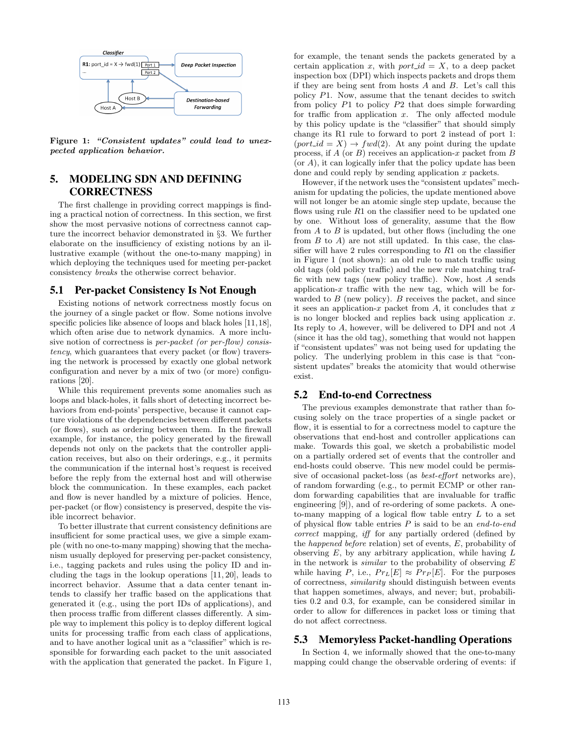

Figure 1: "Consistent updates" could lead to unexpected application behavior.

## 5. MODELING SDN AND DEFINING **CORRECTNESS**

The first challenge in providing correct mappings is finding a practical notion of correctness. In this section, we first show the most pervasive notions of correctness cannot capture the incorrect behavior demonstrated in §3. We further elaborate on the insufficiency of existing notions by an illustrative example (without the one-to-many mapping) in which deploying the techniques used for meeting per-packet consistency breaks the otherwise correct behavior.

#### 5.1 Per-packet Consistency Is Not Enough

Existing notions of network correctness mostly focus on the journey of a single packet or flow. Some notions involve specific policies like absence of loops and black holes [11,18], which often arise due to network dynamics. A more inclusive notion of correctness is per-packet (or per-flow) consistency, which guarantees that every packet (or flow) traversing the network is processed by exactly one global network configuration and never by a mix of two (or more) configurations [20].

While this requirement prevents some anomalies such as loops and black-holes, it falls short of detecting incorrect behaviors from end-points' perspective, because it cannot capture violations of the dependencies between different packets (or flows), such as ordering between them. In the firewall example, for instance, the policy generated by the firewall depends not only on the packets that the controller application receives, but also on their orderings, e.g., it permits the communication if the internal host's request is received before the reply from the external host and will otherwise block the communication. In these examples, each packet and flow is never handled by a mixture of policies. Hence, per-packet (or flow) consistency is preserved, despite the visible incorrect behavior.

To better illustrate that current consistency definitions are insufficient for some practical uses, we give a simple example (with no one-to-many mapping) showing that the mechanism usually deployed for preserving per-packet consistency, i.e., tagging packets and rules using the policy ID and including the tags in the lookup operations [11, 20], leads to incorrect behavior. Assume that a data center tenant intends to classify her traffic based on the applications that generated it (e.g., using the port IDs of applications), and then process traffic from different classes differently. A simple way to implement this policy is to deploy different logical units for processing traffic from each class of applications, and to have another logical unit as a "classifier" which is responsible for forwarding each packet to the unit associated with the application that generated the packet. In Figure 1, for example, the tenant sends the packets generated by a certain application x, with  $port\_id = X$ , to a deep packet inspection box (DPI) which inspects packets and drops them if they are being sent from hosts  $A$  and  $B$ . Let's call this policy P1. Now, assume that the tenant decides to switch from policy  $P1$  to policy  $P2$  that does simple forwarding for traffic from application  $x$ . The only affected module by this policy update is the "classifier" that should simply change its R1 rule to forward to port 2 instead of port 1:  $(port\_id = X) \rightarrow fwd(2)$ . At any point during the update process, if  $A$  (or  $B$ ) receives an application-x packet from  $B$  $($ or  $A)$ , it can logically infer that the policy update has been done and could reply by sending application x packets.

However, if the network uses the "consistent updates" mechanism for updating the policies, the update mentioned above will not longer be an atomic single step update, because the flows using rule  $R1$  on the classifier need to be updated one by one. Without loss of generality, assume that the flow from  $A$  to  $B$  is updated, but other flows (including the one from  $B$  to  $A$ ) are not still updated. In this case, the classifier will have 2 rules corresponding to  $R1$  on the classifier in Figure 1 (not shown): an old rule to match traffic using old tags (old policy traffic) and the new rule matching traffic with new tags (new policy traffic). Now, host  $A$  sends application- $x$  traffic with the new tag, which will be forwarded to  $B$  (new policy).  $B$  receives the packet, and since it sees an application-x packet from A, it concludes that  $x$ is no longer blocked and replies back using application  $x$ . Its reply to A, however, will be delivered to DPI and not A (since it has the old tag), something that would not happen if "consistent updates" was not being used for updating the policy. The underlying problem in this case is that "consistent updates" breaks the atomicity that would otherwise exist.

## 5.2 End-to-end Correctness

The previous examples demonstrate that rather than focusing solely on the trace properties of a single packet or flow, it is essential to for a correctness model to capture the observations that end-host and controller applications can make. Towards this goal, we sketch a probabilistic model on a partially ordered set of events that the controller and end-hosts could observe. This new model could be permissive of occasional packet-loss (as best-effort networks are), of random forwarding (e.g., to permit ECMP or other random forwarding capabilities that are invaluable for traffic engineering [9]), and of re-ordering of some packets. A oneto-many mapping of a logical flow table entry  $L$  to a set of physical flow table entries  $P$  is said to be an end-to-end correct mapping, iff for any partially ordered (defined by the happened before relation) set of events, E, probability of observing  $E$ , by any arbitrary application, while having  $L$ in the network is *similar* to the probability of observing  $E$ while having P, i.e.,  $Pr_L[E] \approx Pr_P[E]$ . For the purposes of correctness, similarity should distinguish between events that happen sometimes, always, and never; but, probabilities 0.2 and 0.3, for example, can be considered similar in order to allow for differences in packet loss or timing that do not affect correctness.

## 5.3 Memoryless Packet-handling Operations

In Section 4, we informally showed that the one-to-many mapping could change the observable ordering of events: if